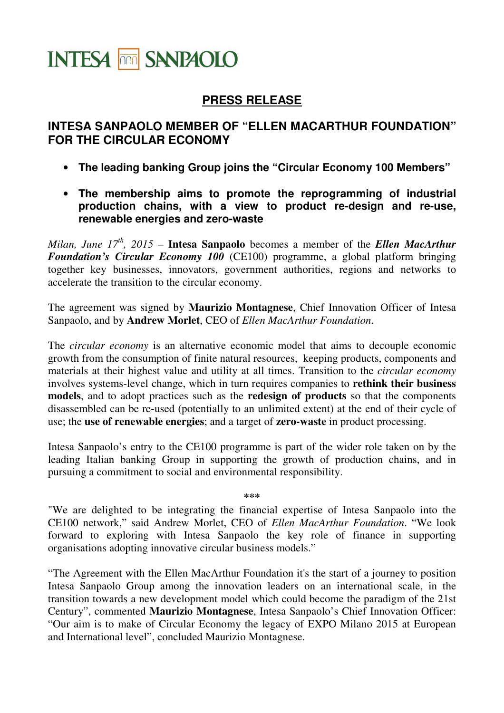## **INTESA THE SANPAOLO**

## **PRESS RELEASE**

## **INTESA SANPAOLO MEMBER OF "ELLEN MACARTHUR FOUNDATION" FOR THE CIRCULAR ECONOMY**

- **The leading banking Group joins the "Circular Economy 100 Members"**
- **The membership aims to promote the reprogramming of industrial production chains, with a view to product re-design and re-use, renewable energies and zero-waste**

*Milan, June 17th, 2015* – **Intesa Sanpaolo** becomes a member of the *Ellen MacArthur Foundation's Circular Economy 100* (CE100) programme, a global platform bringing together key businesses, innovators, government authorities, regions and networks to accelerate the transition to the circular economy.

The agreement was signed by **Maurizio Montagnese**, Chief Innovation Officer of Intesa Sanpaolo, and by **Andrew Morlet**, CEO of *Ellen MacArthur Foundation*.

The *circular economy* is an alternative economic model that aims to decouple economic growth from the consumption of finite natural resources, keeping products, components and materials at their highest value and utility at all times. Transition to the *circular economy* involves systems-level change, which in turn requires companies to **rethink their business models**, and to adopt practices such as the **redesign of products** so that the components disassembled can be re-used (potentially to an unlimited extent) at the end of their cycle of use; the **use of renewable energies**; and a target of **zero-waste** in product processing.

Intesa Sanpaolo's entry to the CE100 programme is part of the wider role taken on by the leading Italian banking Group in supporting the growth of production chains, and in pursuing a commitment to social and environmental responsibility.

**\*\*\*** 

"We are delighted to be integrating the financial expertise of Intesa Sanpaolo into the CE100 network," said Andrew Morlet, CEO of *Ellen MacArthur Foundation*. "We look forward to exploring with Intesa Sanpaolo the key role of finance in supporting organisations adopting innovative circular business models."

"The Agreement with the Ellen MacArthur Foundation it's the start of a journey to position Intesa Sanpaolo Group among the innovation leaders on an international scale, in the transition towards a new development model which could become the paradigm of the 21st Century", commented **Maurizio Montagnese**, Intesa Sanpaolo's Chief Innovation Officer: "Our aim is to make of Circular Economy the legacy of EXPO Milano 2015 at European and International level", concluded Maurizio Montagnese.